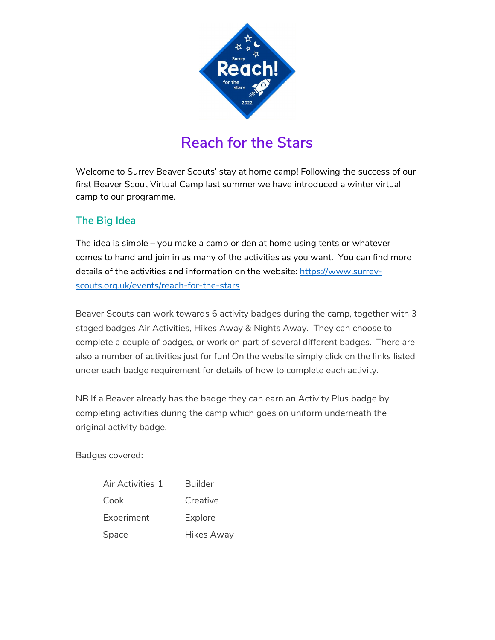

# Reach for the Stars

Welcome to Surrey Beaver Scouts' stay at home camp! Following the success of our first Beaver Scout Virtual Camp last summer we have introduced a winter virtual camp to our programme.

# The Big Idea

The idea is simple – you make a camp or den at home using tents or whatever comes to hand and join in as many of the activities as you want. You can find more details of the activities and information on the website: https://www.surreyscouts.org.uk/events/reach-for-the-stars

Beaver Scouts can work towards 6 activity badges during the camp, together with 3 staged badges Air Activities, Hikes Away & Nights Away. They can choose to complete a couple of badges, or work on part of several different badges. There are also a number of activities just for fun! On the website simply click on the links listed under each badge requirement for details of how to complete each activity.

NB If a Beaver already has the badge they can earn an Activity Plus badge by completing activities during the camp which goes on uniform underneath the original activity badge.

Badges covered:

| Air Activities 1 | Builder           |
|------------------|-------------------|
| Cook             | Creative          |
| Experiment       | Explore           |
| Space            | <b>Hikes Away</b> |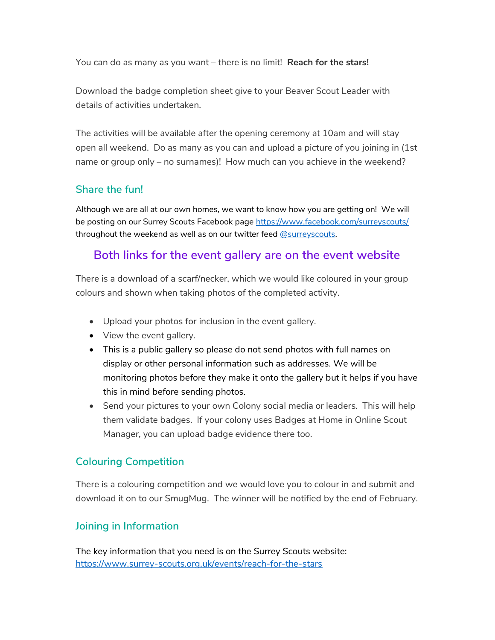You can do as many as you want – there is no limit! Reach for the stars!

Download the badge completion sheet give to your Beaver Scout Leader with details of activities undertaken.

The activities will be available after the opening ceremony at 10am and will stay open all weekend. Do as many as you can and upload a picture of you joining in (1st name or group only – no surnames)! How much can you achieve in the weekend?

# Share the fun!

Although we are all at our own homes, we want to know how you are getting on! We will be posting on our Surrey Scouts Facebook page https://www.facebook.com/surreyscouts/ throughout the weekend as well as on our twitter feed @surreyscouts.

# Both links for the event gallery are on the event website

There is a download of a scarf/necker, which we would like coloured in your group colours and shown when taking photos of the completed activity.

- Upload your photos for inclusion in the event gallery.
- View the event gallery.
- This is a public gallery so please do not send photos with full names on display or other personal information such as addresses. We will be monitoring photos before they make it onto the gallery but it helps if you have this in mind before sending photos.
- Send your pictures to your own Colony social media or leaders. This will help them validate badges. If your colony uses Badges at Home in Online Scout Manager, you can upload badge evidence there too.

# Colouring Competition

There is a colouring competition and we would love you to colour in and submit and download it on to our SmugMug. The winner will be notified by the end of February.

# Joining in Information

The key information that you need is on the Surrey Scouts website: https://www.surrey-scouts.org.uk/events/reach-for-the-stars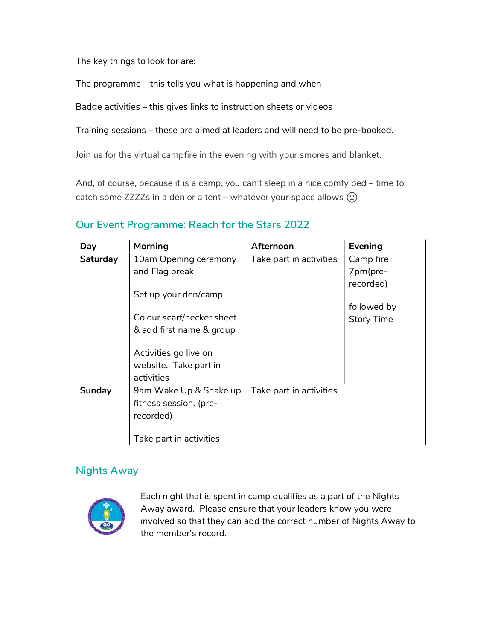The key things to look for are:

The programme – this tells you what is happening and when

Badge activities – this gives links to instruction sheets or videos

Training sessions – these are aimed at leaders and will need to be pre-booked.

Join us for the virtual campfire in the evening with your smores and blanket.

And, of course, because it is a camp, you can't sleep in a nice comfy bed – time to catch some ZZZZs in a den or a tent – whatever your space allows  $\odot$ 

| Day      | <b>Morning</b>            | Afternoon               | Evening           |
|----------|---------------------------|-------------------------|-------------------|
| Saturday | 10am Opening ceremony     | Take part in activities | Camp fire         |
|          | and Flag break            |                         | 7pm(pre-          |
|          |                           |                         | recorded)         |
|          | Set up your den/camp      |                         |                   |
|          |                           |                         | followed by       |
|          | Colour scarf/necker sheet |                         | <b>Story Time</b> |
|          | & add first name & group  |                         |                   |
|          |                           |                         |                   |
|          | Activities go live on     |                         |                   |
|          | website. Take part in     |                         |                   |
|          | activities                |                         |                   |
| Sunday   | 9am Wake Up & Shake up    | Take part in activities |                   |
|          | fitness session. (pre-    |                         |                   |
|          | recorded)                 |                         |                   |
|          |                           |                         |                   |
|          | Take part in activities   |                         |                   |

### Our Event Programme: Reach for the Stars 2022

#### Nights Away



Each night that is spent in camp qualifies as a part of the Nights Away award. Please ensure that your leaders know you were involved so that they can add the correct number of Nights Away to the member's record.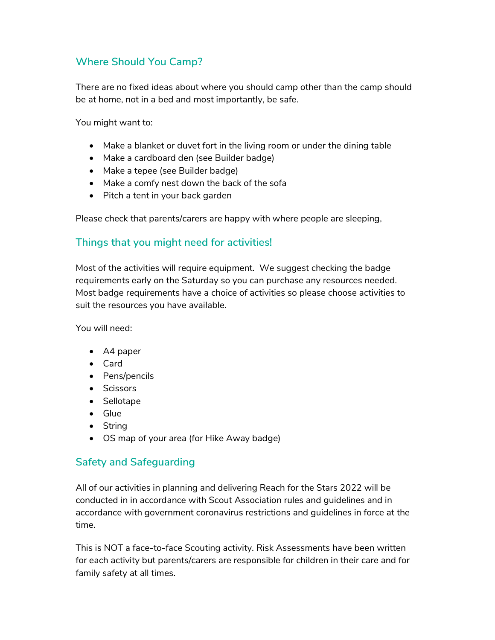# Where Should You Camp?

There are no fixed ideas about where you should camp other than the camp should be at home, not in a bed and most importantly, be safe.

You might want to:

- Make a blanket or duvet fort in the living room or under the dining table
- Make a cardboard den (see Builder badge)
- Make a tepee (see Builder badge)
- Make a comfy nest down the back of the sofa
- Pitch a tent in your back garden

Please check that parents/carers are happy with where people are sleeping,

# Things that you might need for activities!

Most of the activities will require equipment. We suggest checking the badge requirements early on the Saturday so you can purchase any resources needed. Most badge requirements have a choice of activities so please choose activities to suit the resources you have available.

You will need:

- A4 paper
- Card
- Pens/pencils
- Scissors
- Sellotape
- Glue
- String
- OS map of your area (for Hike Away badge)

#### Safety and Safeguarding

All of our activities in planning and delivering Reach for the Stars 2022 will be conducted in in accordance with Scout Association rules and guidelines and in accordance with government coronavirus restrictions and guidelines in force at the time.

This is NOT a face-to-face Scouting activity. Risk Assessments have been written for each activity but parents/carers are responsible for children in their care and for family safety at all times.